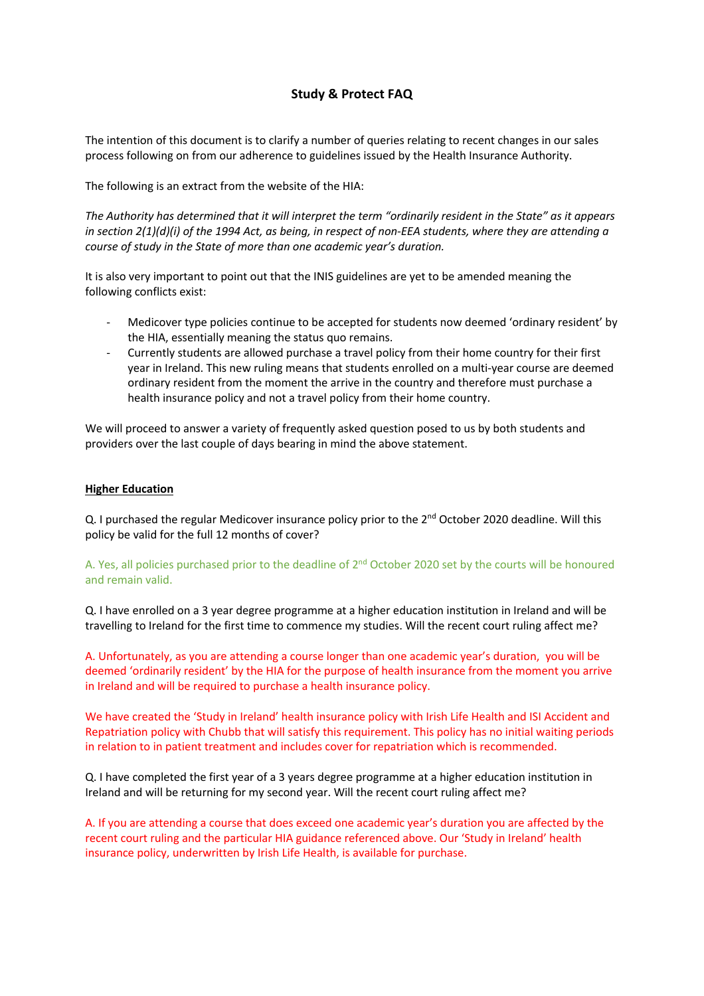## **Study & Protect FAQ**

The intention of this document is to clarify a number of queries relating to recent changes in our sales process following on from our adherence to guidelines issued by the Health Insurance Authority.

The following is an extract from the website of the HIA:

*The Authority has determined that it will interpret the term "ordinarily resident in the State" as it appears in section 2(1)(d)(i) of the 1994 Act, as being, in respect of non-EEA students, where they are attending a course of study in the State of more than one academic year's duration.* 

It is also very important to point out that the INIS guidelines are yet to be amended meaning the following conflicts exist:

- Medicover type policies continue to be accepted for students now deemed 'ordinary resident' by the HIA, essentially meaning the status quo remains.
- Currently students are allowed purchase a travel policy from their home country for their first year in Ireland. This new ruling means that students enrolled on a multi-year course are deemed ordinary resident from the moment the arrive in the country and therefore must purchase a health insurance policy and not a travel policy from their home country.

We will proceed to answer a variety of frequently asked question posed to us by both students and providers over the last couple of days bearing in mind the above statement.

## **Higher Education**

Q. I purchased the regular Medicover insurance policy prior to the 2<sup>nd</sup> October 2020 deadline. Will this policy be valid for the full 12 months of cover?

## A. Yes, all policies purchased prior to the deadline of 2<sup>nd</sup> October 2020 set by the courts will be honoured and remain valid.

Q. I have enrolled on a 3 year degree programme at a higher education institution in Ireland and will be travelling to Ireland for the first time to commence my studies. Will the recent court ruling affect me?

A. Unfortunately, as you are attending a course longer than one academic year's duration, you will be deemed 'ordinarily resident' by the HIA for the purpose of health insurance from the moment you arrive in Ireland and will be required to purchase a health insurance policy.

We have created the 'Study in Ireland' health insurance policy with Irish Life Health and ISI Accident and Repatriation policy with Chubb that will satisfy this requirement. This policy has no initial waiting periods in relation to in patient treatment and includes cover for repatriation which is recommended.

Q. I have completed the first year of a 3 years degree programme at a higher education institution in Ireland and will be returning for my second year. Will the recent court ruling affect me?

A. If you are attending a course that does exceed one academic year's duration you are affected by the recent court ruling and the particular HIA guidance referenced above. Our 'Study in Ireland' health insurance policy, underwritten by Irish Life Health, is available for purchase.